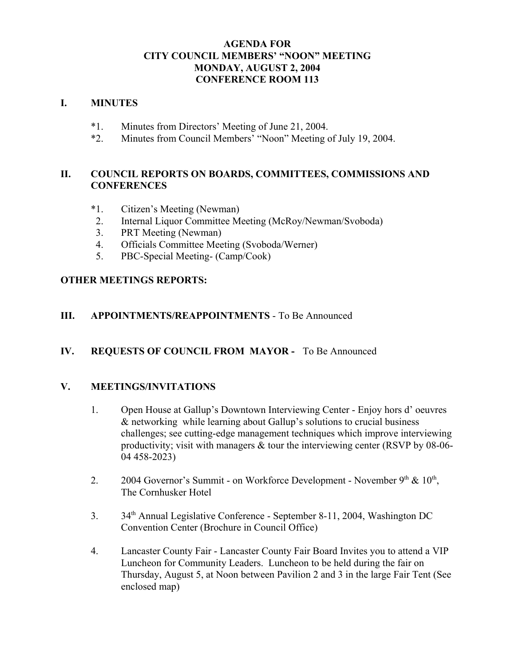#### **AGENDA FOR CITY COUNCIL MEMBERS' "NOON" MEETING MONDAY, AUGUST 2, 2004 CONFERENCE ROOM 113**

#### **I. MINUTES**

- \*1. Minutes from Directors' Meeting of June 21, 2004.
- \*2. Minutes from Council Members' "Noon" Meeting of July 19, 2004.

### **II. COUNCIL REPORTS ON BOARDS, COMMITTEES, COMMISSIONS AND CONFERENCES**

- \*1. Citizen's Meeting (Newman)
- 2. Internal Liquor Committee Meeting (McRoy/Newman/Svoboda)
- 3. PRT Meeting (Newman)
- 4. Officials Committee Meeting (Svoboda/Werner)
- 5. PBC-Special Meeting- (Camp/Cook)

#### **OTHER MEETINGS REPORTS:**

### **III. APPOINTMENTS/REAPPOINTMENTS** - To Be Announced

### **IV. REQUESTS OF COUNCIL FROM MAYOR -** To Be Announced

### **V. MEETINGS/INVITATIONS**

- 1. Open House at Gallup's Downtown Interviewing Center Enjoy hors d' oeuvres & networking while learning about Gallup's solutions to crucial business challenges; see cutting-edge management techniques which improve interviewing productivity; visit with managers & tour the interviewing center (RSVP by 08-06- 04 458-2023)
- 2. 2004 Governor's Summit on Workforce Development November  $9<sup>th</sup>$  &  $10<sup>th</sup>$ , The Cornhusker Hotel
- 3. 34<sup>th</sup> Annual Legislative Conference September 8-11, 2004, Washington DC Convention Center (Brochure in Council Office)
- 4. Lancaster County Fair Lancaster County Fair Board Invites you to attend a VIP Luncheon for Community Leaders. Luncheon to be held during the fair on Thursday, August 5, at Noon between Pavilion 2 and 3 in the large Fair Tent (See enclosed map)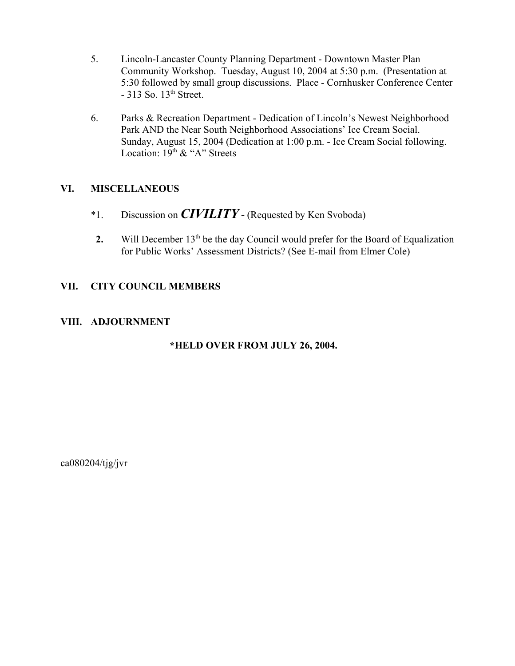- 5. Lincoln-Lancaster County Planning Department Downtown Master Plan Community Workshop. Tuesday, August 10, 2004 at 5:30 p.m. (Presentation at 5:30 followed by small group discussions. Place - Cornhusker Conference Center  $-313$  So.  $13<sup>th</sup>$  Street.
- 6. Parks & Recreation Department Dedication of Lincoln's Newest Neighborhood Park AND the Near South Neighborhood Associations' Ice Cream Social. Sunday, August 15, 2004 (Dedication at 1:00 p.m. - Ice Cream Social following. Location:  $19<sup>th</sup>$  & "A" Streets

### **VI. MISCELLANEOUS**

- \*1. Discussion on *CIVILITY*(Requested by Ken Svoboda)
- **2.** Will December 13<sup>th</sup> be the day Council would prefer for the Board of Equalization for Public Works' Assessment Districts? (See E-mail from Elmer Cole)

### **VII. CITY COUNCIL MEMBERS**

### **VIII. ADJOURNMENT**

# **\*HELD OVER FROM JULY 26, 2004.**

 $ca080204/tig/ivr$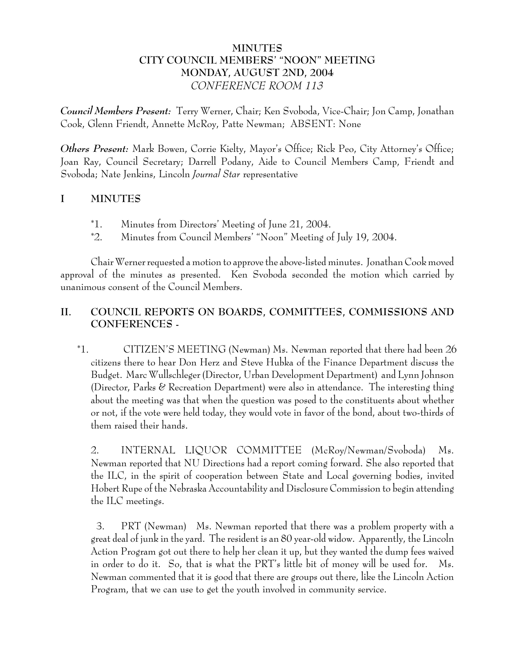# **MINUTES CITY COUNCIL MEMBERS' "NOON" MEETING MONDAY, AUGUST 2ND, 2004** *CONFERENCE ROOM 113*

*Council Members Present:* Terry Werner, Chair; Ken Svoboda, Vice-Chair; Jon Camp, Jonathan Cook, Glenn Friendt, Annette McRoy, Patte Newman; ABSENT: None

*Others Present:* Mark Bowen, Corrie Kielty, Mayor's Office; Rick Peo, City Attorney's Office; Joan Ray, Council Secretary; Darrell Podany, Aide to Council Members Camp, Friendt and Svoboda; Nate Jenkins, Lincoln *Journal Star* representative

# **I MINUTES**

- \*1. Minutes from Directors' Meeting of June 21, 2004.
- \*2. Minutes from Council Members' "Noon" Meeting of July 19, 2004.

Chair Werner requested a motion to approve the above-listed minutes. Jonathan Cook moved approval of the minutes as presented. Ken Svoboda seconded the motion which carried by unanimous consent of the Council Members.

# **II. COUNCIL REPORTS ON BOARDS, COMMITTEES, COMMISSIONS AND CONFERENCES -**

 \*1. CITIZEN'S MEETING (Newman) Ms. Newman reported that there had been 26 citizens there to hear Don Herz and Steve Hubka of the Finance Department discuss the Budget. Marc Wullschleger (Director, Urban Development Department) and Lynn Johnson (Director, Parks & Recreation Department) were also in attendance. The interesting thing about the meeting was that when the question was posed to the constituents about whether or not, if the vote were held today, they would vote in favor of the bond, about two-thirds of them raised their hands.

2. INTERNAL LIQUOR COMMITTEE (McRoy/Newman/Svoboda) Ms. Newman reported that NU Directions had a report coming forward. She also reported that the ILC, in the spirit of cooperation between State and Local governing bodies, invited Hobert Rupe of the Nebraska Accountability and Disclosure Commission to begin attending the ILC meetings.

 3. PRT (Newman) Ms. Newman reported that there was a problem property with a great deal of junk in the yard. The resident is an 80 year-old widow. Apparently, the Lincoln Action Program got out there to help her clean it up, but they wanted the dump fees waived in order to do it. So, that is what the PRT's little bit of money will be used for. Ms. Newman commented that it is good that there are groups out there, like the Lincoln Action Program, that we can use to get the youth involved in community service.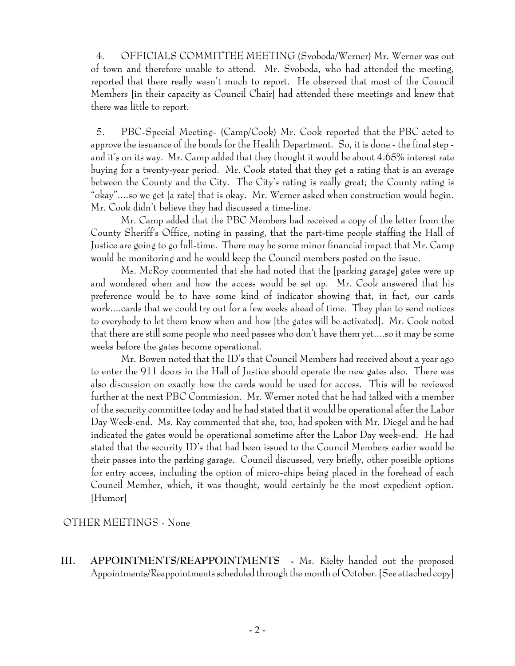4. OFFICIALS COMMITTEE MEETING (Svoboda/Werner) Mr. Werner was out of town and therefore unable to attend. Mr. Svoboda, who had attended the meeting, reported that there really wasn't much to report. He observed that most of the Council Members [in their capacity as Council Chair] had attended these meetings and knew that there was little to report.

 5. PBC-Special Meeting- (Camp/Cook) Mr. Cook reported that the PBC acted to approve the issuance of the bonds for the Health Department. So, it is done - the final step and it's on its way. Mr. Camp added that they thought it would be about 4.65% interest rate buying for a twenty-year period. Mr. Cook stated that they get a rating that is an average between the County and the City. The City's rating is really great; the County rating is "okay"....so we get [a rate] that is okay. Mr. Werner asked when construction would begin. Mr. Cook didn't believe they had discussed a time-line.

Mr. Camp added that the PBC Members had received a copy of the letter from the County Sheriff's Office, noting in passing, that the part-time people staffing the Hall of Justice are going to go full-time. There may be some minor financial impact that Mr. Camp would be monitoring and he would keep the Council members posted on the issue.

Ms. McRoy commented that she had noted that the [parking garage] gates were up and wondered when and how the access would be set up. Mr. Cook answered that his preference would be to have some kind of indicator showing that, in fact, our cards work....cards that we could try out for a few weeks ahead of time. They plan to send notices to everybody to let them know when and how [the gates will be activated]. Mr. Cook noted that there are still some people who need passes who don't have them yet....so it may be some weeks before the gates become operational.

Mr. Bowen noted that the ID's that Council Members had received about a year ago to enter the 911 doors in the Hall of Justice should operate the new gates also. There was also discussion on exactly how the cards would be used for access. This will be reviewed further at the next PBC Commission. Mr. Werner noted that he had talked with a member of the security committee today and he had stated that it would be operational after the Labor Day Week-end. Ms. Ray commented that she, too, had spoken with Mr. Diegel and he had indicated the gates would be operational sometime after the Labor Day week-end. He had stated that the security ID's that had been issued to the Council Members earlier would be their passes into the parking garage. Council discussed, very briefly, other possible options for entry access, including the option of micro-chips being placed in the forehead of each Council Member, which, it was thought, would certainly be the most expedient option. [Humor]

OTHER MEETINGS - None

**III. APPOINTMENTS/REAPPOINTMENTS -** Ms. Kielty handed out the proposed Appointments/Reappointments scheduled through the month of October. [See attached copy]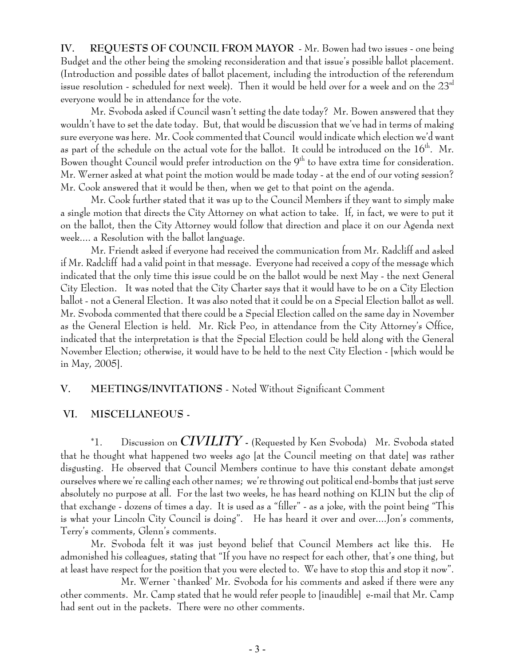**IV. REQUESTS OF COUNCIL FROM MAYOR** - Mr. Bowen had two issues - one being Budget and the other being the smoking reconsideration and that issue's possible ballot placement. (Introduction and possible dates of ballot placement, including the introduction of the referendum issue resolution - scheduled for next week). Then it would be held over for a week and on the  $23<sup>rd</sup>$ everyone would be in attendance for the vote.

Mr. Svoboda asked if Council wasn't setting the date today? Mr. Bowen answered that they wouldn't have to set the date today. But, that would be discussion that we've had in terms of making sure everyone was here. Mr. Cook commented that Council would indicate which election we'd want as part of the schedule on the actual vote for the ballot. It could be introduced on the  $16<sup>th</sup>$ . Mr. Bowen thought Council would prefer introduction on the 9<sup>th</sup> to have extra time for consideration. Mr. Werner asked at what point the motion would be made today - at the end of our voting session? Mr. Cook answered that it would be then, when we get to that point on the agenda.

Mr. Cook further stated that it was up to the Council Members if they want to simply make a single motion that directs the City Attorney on what action to take. If, in fact, we were to put it on the ballot, then the City Attorney would follow that direction and place it on our Agenda next week.... a Resolution with the ballot language.

Mr. Friendt asked if everyone had received the communication from Mr. Radcliff and asked if Mr. Radcliff had a valid point in that message. Everyone had received a copy of the message which indicated that the only time this issue could be on the ballot would be next May - the next General City Election. It was noted that the City Charter says that it would have to be on a City Election ballot - not a General Election. It was also noted that it could be on a Special Election ballot as well. Mr. Svoboda commented that there could be a Special Election called on the same day in November as the General Election is held. Mr. Rick Peo, in attendance from the City Attorney's Office, indicated that the interpretation is that the Special Election could be held along with the General November Election; otherwise, it would have to be held to the next City Election - [which would be in May, 2005].

### **V. MEETINGS/INVITATIONS** - Noted Without Significant Comment

#### **VI. MISCELLANEOUS -**

\*1. Discussion on *CIVILITY* **-** (Requested by Ken Svoboda) Mr. Svoboda stated that he thought what happened two weeks ago [at the Council meeting on that date] was rather disgusting. He observed that Council Members continue to have this constant debate amongst ourselves where we're calling each other names; we're throwing out political end-bombs that just serve absolutely no purpose at all. For the last two weeks, he has heard nothing on KLIN but the clip of that exchange - dozens of times a day. It is used as a "filler" - as a joke, with the point being "This is what your Lincoln City Council is doing". He has heard it over and over....Jon's comments, Terry's comments, Glenn's comments.

Mr. Svoboda felt it was just beyond belief that Council Members act like this. He admonished his colleagues, stating that "If you have no respect for each other, that's one thing, but at least have respect for the position that you were elected to. We have to stop this and stop it now".

Mr. Werner `thanked' Mr. Svoboda for his comments and asked if there were any other comments. Mr. Camp stated that he would refer people to [inaudible] e-mail that Mr. Camp had sent out in the packets. There were no other comments.